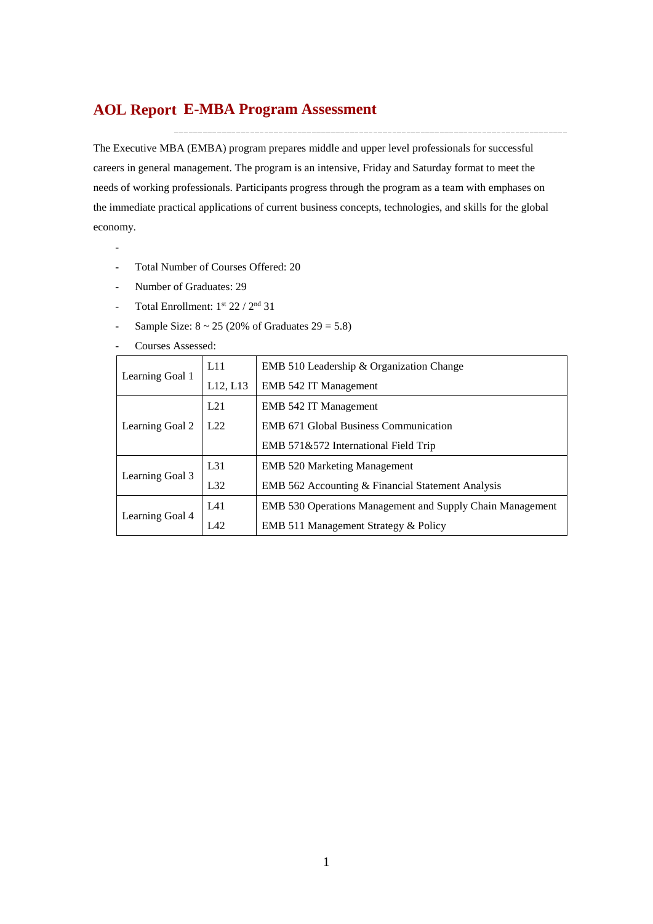## **E-MBA Program Assessment AOL Report**

The Executive MBA (EMBA) program prepares middle and upper level professionals for successful careers in general management. The program is an intensive, Friday and Saturday format to meet the needs of working professionals. Participants progress through the program as a team with emphases on the immediate practical applications of current business concepts, technologies, and skills for the global economy.

- Total Number of Courses Offered: 20
- Number of Graduates: 29

-

- Total Enrollment:  $1^{st}$  22 /  $2^{nd}$  31
- Sample Size:  $8 \sim 25$  (20% of Graduates  $29 = 5.8$ )
- Courses Assessed:

|                 | L11             | EMB 510 Leadership & Organization Change                         |  |  |  |  |
|-----------------|-----------------|------------------------------------------------------------------|--|--|--|--|
| Learning Goal 1 | L12, L13        | EMB 542 IT Management                                            |  |  |  |  |
| L21             |                 | <b>EMB 542 IT Management</b>                                     |  |  |  |  |
| Learning Goal 2 | 1.22            | <b>EMB 671 Global Business Communication</b>                     |  |  |  |  |
|                 |                 | EMB 571&572 International Field Trip                             |  |  |  |  |
|                 | L <sub>31</sub> | <b>EMB</b> 520 Marketing Management                              |  |  |  |  |
| Learning Goal 3 | L32             | EMB 562 Accounting & Financial Statement Analysis                |  |  |  |  |
|                 | L41             | <b>EMB 530 Operations Management and Supply Chain Management</b> |  |  |  |  |
| Learning Goal 4 | LA2             | EMB 511 Management Strategy & Policy                             |  |  |  |  |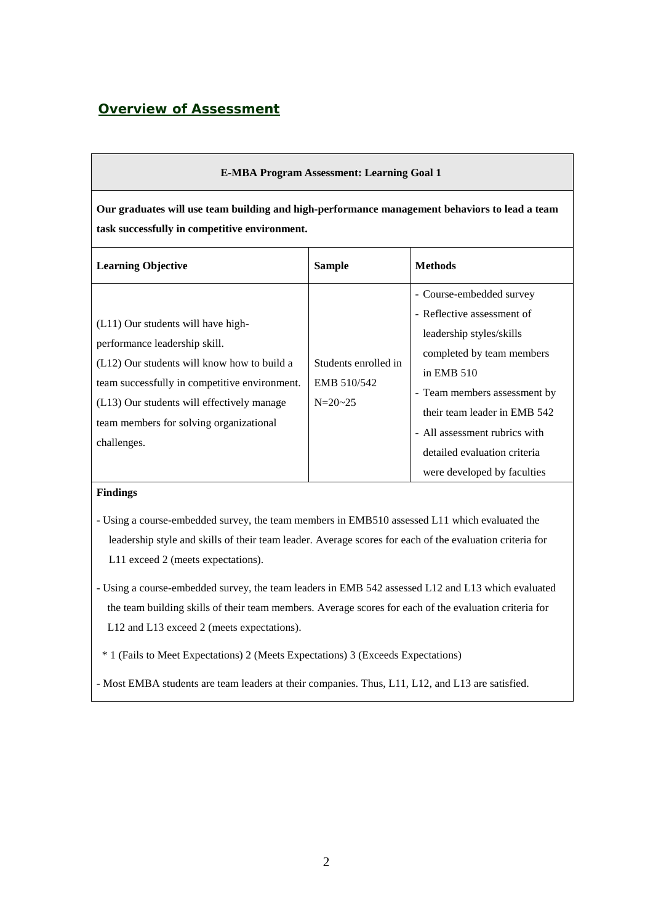## *Overview of Assessment*

| <b>E-MBA Program Assessment: Learning Goal 1</b>                                                                                                                                                                                                                            |                                                      |                                                                                                                                                                                                                                                                                                 |  |  |  |  |  |  |  |
|-----------------------------------------------------------------------------------------------------------------------------------------------------------------------------------------------------------------------------------------------------------------------------|------------------------------------------------------|-------------------------------------------------------------------------------------------------------------------------------------------------------------------------------------------------------------------------------------------------------------------------------------------------|--|--|--|--|--|--|--|
| Our graduates will use team building and high-performance management behaviors to lead a team<br>task successfully in competitive environment.                                                                                                                              |                                                      |                                                                                                                                                                                                                                                                                                 |  |  |  |  |  |  |  |
| <b>Learning Objective</b>                                                                                                                                                                                                                                                   | <b>Sample</b>                                        | <b>Methods</b>                                                                                                                                                                                                                                                                                  |  |  |  |  |  |  |  |
| (L11) Our students will have high-<br>performance leadership skill.<br>(L12) Our students will know how to build a<br>team successfully in competitive environment.<br>(L13) Our students will effectively manage<br>team members for solving organizational<br>challenges. | Students enrolled in<br>EMB 510/542<br>$N = 20 - 25$ | - Course-embedded survey<br>- Reflective assessment of<br>leadership styles/skills<br>completed by team members<br>in EMB $510$<br>- Team members assessment by<br>their team leader in EMB 542<br>- All assessment rubrics with<br>detailed evaluation criteria<br>were developed by faculties |  |  |  |  |  |  |  |

#### **Findings**

- Using a course-embedded survey, the team members in EMB510 assessed L11 which evaluated the leadership style and skills of their team leader. Average scores for each of the evaluation criteria for L11 exceed 2 (meets expectations).
- Using a course-embedded survey, the team leaders in EMB 542 assessed L12 and L13 which evaluated the team building skills of their team members. Average scores for each of the evaluation criteria for L12 and L13 exceed 2 (meets expectations).

\* 1 (Fails to Meet Expectations) 2 (Meets Expectations) 3 (Exceeds Expectations)

**-** Most EMBA students are team leaders at their companies. Thus, L11, L12, and L13 are satisfied.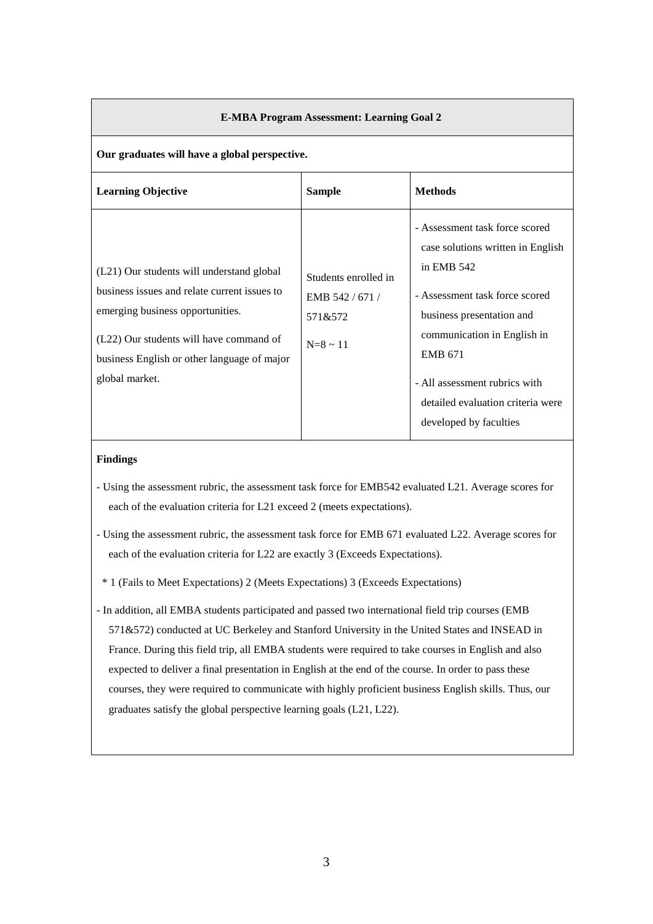|                                                                                                                                                                                                                                           | <b>E-MBA Program Assessment: Learning Goal 2</b>                   |                                                                                                                                                                                                                                                                                                     |  |  |  |  |  |
|-------------------------------------------------------------------------------------------------------------------------------------------------------------------------------------------------------------------------------------------|--------------------------------------------------------------------|-----------------------------------------------------------------------------------------------------------------------------------------------------------------------------------------------------------------------------------------------------------------------------------------------------|--|--|--|--|--|
| Our graduates will have a global perspective.                                                                                                                                                                                             |                                                                    |                                                                                                                                                                                                                                                                                                     |  |  |  |  |  |
| <b>Learning Objective</b>                                                                                                                                                                                                                 | <b>Sample</b>                                                      | <b>Methods</b>                                                                                                                                                                                                                                                                                      |  |  |  |  |  |
| (L21) Our students will understand global<br>business issues and relate current issues to<br>emerging business opportunities.<br>(L22) Our students will have command of<br>business English or other language of major<br>global market. | Students enrolled in<br>EMB 542/671/<br>571&572<br>$N = 8 \sim 11$ | - Assessment task force scored<br>case solutions written in English<br>in EMB $542$<br>- Assessment task force scored<br>business presentation and<br>communication in English in<br><b>EMB 671</b><br>- All assessment rubrics with<br>detailed evaluation criteria were<br>developed by faculties |  |  |  |  |  |

#### **Findings**

- Using the assessment rubric, the assessment task force for EMB542 evaluated L21. Average scores for each of the evaluation criteria for L21 exceed 2 (meets expectations).
- Using the assessment rubric, the assessment task force for EMB 671 evaluated L22. Average scores for each of the evaluation criteria for L22 are exactly 3 (Exceeds Expectations).
- \* 1 (Fails to Meet Expectations) 2 (Meets Expectations) 3 (Exceeds Expectations)
- In addition, all EMBA students participated and passed two international field trip courses (EMB 571&572) conducted at UC Berkeley and Stanford University in the United States and INSEAD in France. During this field trip, all EMBA students were required to take courses in English and also expected to deliver a final presentation in English at the end of the course. In order to pass these courses, they were required to communicate with highly proficient business English skills. Thus, our graduates satisfy the global perspective learning goals (L21, L22).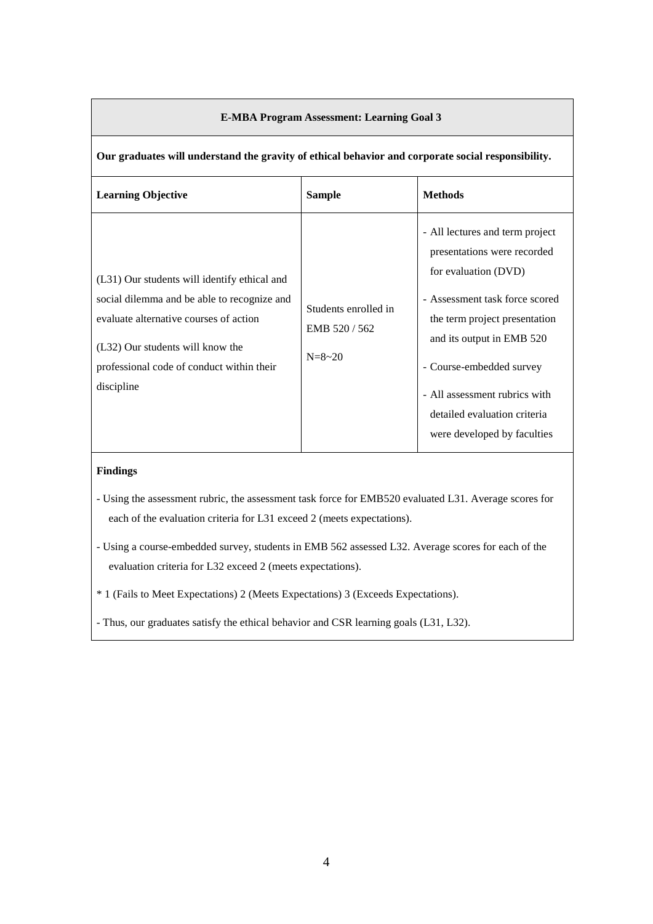| Our graduates will understand the gravity of ethical behavior and corporate social responsibility.                                                                                                                                   |                                                        |                                                                                                                                                                                                                                                                                                                    |  |  |  |  |  |  |
|--------------------------------------------------------------------------------------------------------------------------------------------------------------------------------------------------------------------------------------|--------------------------------------------------------|--------------------------------------------------------------------------------------------------------------------------------------------------------------------------------------------------------------------------------------------------------------------------------------------------------------------|--|--|--|--|--|--|
| <b>Learning Objective</b>                                                                                                                                                                                                            | <b>Sample</b>                                          | <b>Methods</b>                                                                                                                                                                                                                                                                                                     |  |  |  |  |  |  |
| (L31) Our students will identify ethical and<br>social dilemma and be able to recognize and<br>evaluate alternative courses of action<br>(L32) Our students will know the<br>professional code of conduct within their<br>discipline | Students enrolled in<br>EMB 520/562<br>$N = 8 \sim 20$ | - All lectures and term project<br>presentations were recorded<br>for evaluation (DVD)<br>- Assessment task force scored<br>the term project presentation<br>and its output in EMB 520<br>- Course-embedded survey<br>- All assessment rubrics with<br>detailed evaluation criteria<br>were developed by faculties |  |  |  |  |  |  |

#### **E-MBA Program Assessment: Learning Goal 3**

#### **Findings**

- Using the assessment rubric, the assessment task force for EMB520 evaluated L31. Average scores for each of the evaluation criteria for L31 exceed 2 (meets expectations).
- Using a course-embedded survey, students in EMB 562 assessed L32. Average scores for each of the evaluation criteria for L32 exceed 2 (meets expectations).
- \* 1 (Fails to Meet Expectations) 2 (Meets Expectations) 3 (Exceeds Expectations).
- Thus, our graduates satisfy the ethical behavior and CSR learning goals (L31, L32).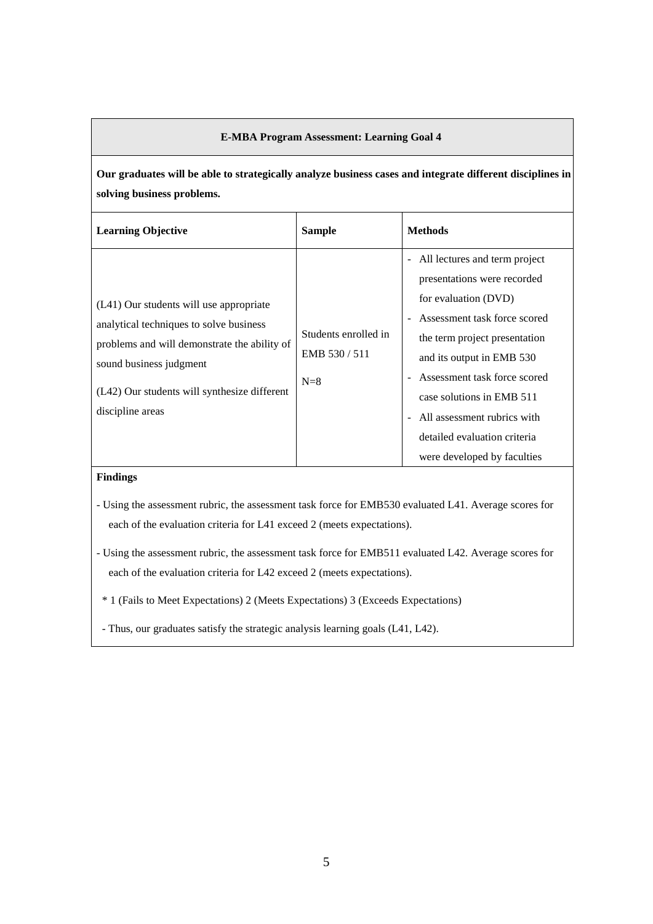#### **E-MBA Program Assessment: Learning Goal 4**

**Our graduates will be able to strategically analyze business cases and integrate different disciplines in solving business problems.**

| <b>Learning Objective</b>                                                                                                                                                                                                         | <b>Sample</b>                                | <b>Methods</b>                                                                                                                                                                                                                                                                                                                                        |
|-----------------------------------------------------------------------------------------------------------------------------------------------------------------------------------------------------------------------------------|----------------------------------------------|-------------------------------------------------------------------------------------------------------------------------------------------------------------------------------------------------------------------------------------------------------------------------------------------------------------------------------------------------------|
| (L41) Our students will use appropriate<br>analytical techniques to solve business<br>problems and will demonstrate the ability of<br>sound business judgment<br>(L42) Our students will synthesize different<br>discipline areas | Students enrolled in<br>EMB 530/511<br>$N=8$ | - All lectures and term project<br>presentations were recorded<br>for evaluation (DVD)<br>- Assessment task force scored<br>the term project presentation<br>and its output in EMB 530<br>- Assessment task force scored<br>case solutions in EMB 511<br>- All assessment rubrics with<br>detailed evaluation criteria<br>were developed by faculties |

### **Findings**

- Using the assessment rubric, the assessment task force for EMB530 evaluated L41. Average scores for each of the evaluation criteria for L41 exceed 2 (meets expectations).

- Using the assessment rubric, the assessment task force for EMB511 evaluated L42. Average scores for each of the evaluation criteria for L42 exceed 2 (meets expectations).

\* 1 (Fails to Meet Expectations) 2 (Meets Expectations) 3 (Exceeds Expectations)

- Thus, our graduates satisfy the strategic analysis learning goals (L41, L42).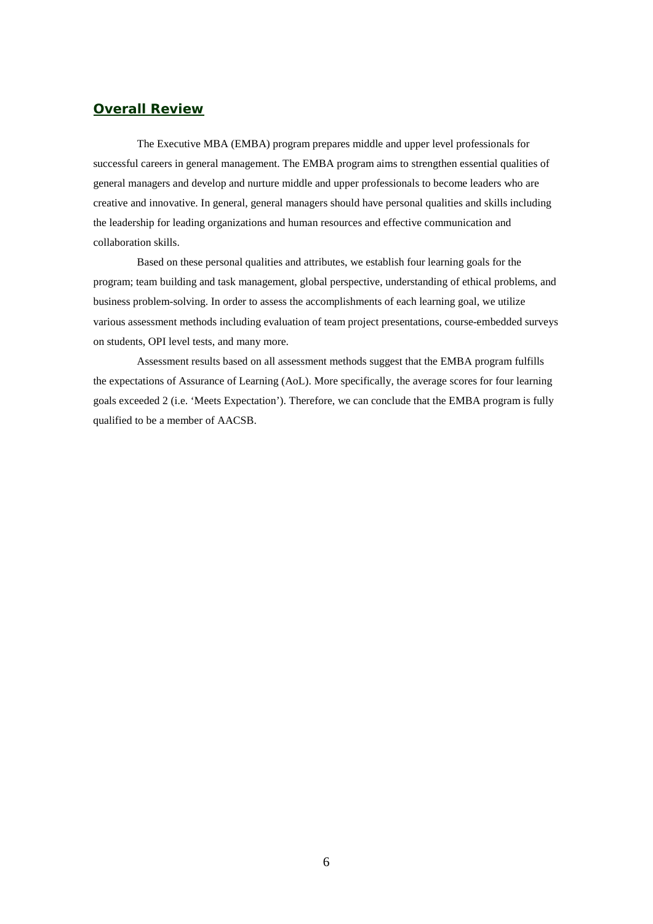### *Overall Review*

The Executive MBA (EMBA) program prepares middle and upper level professionals for successful careers in general management. The EMBA program aims to strengthen essential qualities of general managers and develop and nurture middle and upper professionals to become leaders who are creative and innovative. In general, general managers should have personal qualities and skills including the leadership for leading organizations and human resources and effective communication and collaboration skills.

Based on these personal qualities and attributes, we establish four learning goals for the program; team building and task management, global perspective, understanding of ethical problems, and business problem-solving. In order to assess the accomplishments of each learning goal, we utilize various assessment methods including evaluation of team project presentations, course-embedded surveys on students, OPI level tests, and many more.

Assessment results based on all assessment methods suggest that the EMBA program fulfills the expectations of Assurance of Learning (AoL). More specifically, the average scores for four learning goals exceeded 2 (i.e. 'Meets Expectation'). Therefore, we can conclude that the EMBA program is fully qualified to be a member of AACSB.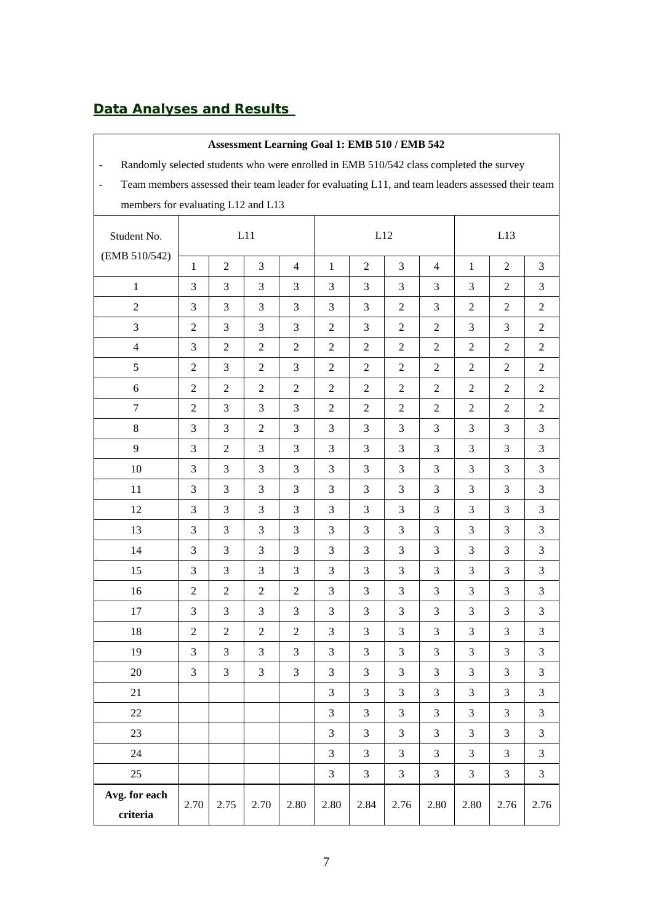# *Data Analyses and Results*

| Assessment Learning Goal 1: EMB 510 / EMB 542                                                                      |                                                                                        |                |                |                |                  |                |                |                |                |                |                |
|--------------------------------------------------------------------------------------------------------------------|----------------------------------------------------------------------------------------|----------------|----------------|----------------|------------------|----------------|----------------|----------------|----------------|----------------|----------------|
| $\overline{\phantom{0}}$                                                                                           | Randomly selected students who were enrolled in EMB 510/542 class completed the survey |                |                |                |                  |                |                |                |                |                |                |
| Team members assessed their team leader for evaluating L11, and team leaders assessed their team<br>$\blacksquare$ |                                                                                        |                |                |                |                  |                |                |                |                |                |                |
| members for evaluating L12 and L13                                                                                 |                                                                                        |                |                |                |                  |                |                |                |                |                |                |
| Student No.                                                                                                        |                                                                                        |                | L11            |                |                  |                | L12            |                | L13            |                |                |
| (EMB 510/542)                                                                                                      | $\mathbf{1}$                                                                           | $\overline{2}$ | 3              | $\overline{4}$ | $\mathbf{1}$     | 2              | 3              | $\overline{4}$ | $\mathbf{1}$   | $\overline{2}$ | 3              |
| $\mathbf{1}$                                                                                                       | 3                                                                                      | 3              | $\mathfrak{Z}$ | 3              | 3                | 3              | 3              | 3              | 3              | $\overline{2}$ | 3              |
| $\overline{2}$                                                                                                     | 3                                                                                      | 3              | $\mathfrak{Z}$ | 3              | 3                | 3              | $\overline{2}$ | 3              | $\overline{2}$ | $\overline{2}$ | $\overline{2}$ |
| 3                                                                                                                  | $\overline{c}$                                                                         | 3              | $\mathfrak{Z}$ | 3              | $\sqrt{2}$       | $\mathfrak{Z}$ | $\overline{2}$ | $\overline{2}$ | 3              | $\mathfrak{Z}$ | $\overline{2}$ |
| $\overline{4}$                                                                                                     | 3                                                                                      | $\overline{2}$ | $\overline{2}$ | $\overline{2}$ | $\boldsymbol{2}$ | $\overline{2}$ | $\overline{2}$ | $\overline{2}$ | $\overline{2}$ | $\sqrt{2}$     | $\overline{2}$ |
| 5                                                                                                                  | $\overline{c}$                                                                         | 3              | $\overline{2}$ | 3              | $\overline{c}$   | $\overline{2}$ | $\overline{2}$ | $\overline{2}$ | $\overline{2}$ | $\overline{c}$ | $\overline{2}$ |
| $\sqrt{6}$                                                                                                         | $\overline{c}$                                                                         | $\overline{2}$ | $\overline{2}$ | 2              | $\boldsymbol{2}$ | $\overline{2}$ | $\overline{2}$ | $\overline{2}$ | $\overline{2}$ | $\overline{2}$ | $\overline{2}$ |
| $\tau$                                                                                                             | $\boldsymbol{2}$                                                                       | 3              | $\mathfrak{Z}$ | 3              | $\boldsymbol{2}$ | $\overline{2}$ | $\overline{2}$ | $\overline{2}$ | $\overline{c}$ | $\overline{2}$ | $\overline{2}$ |
| $\,8\,$                                                                                                            | 3                                                                                      | 3              | $\overline{2}$ | 3              | 3                | 3              | 3              | 3              | 3              | $\mathfrak{Z}$ | 3              |
| 9                                                                                                                  | 3                                                                                      | $\overline{2}$ | 3              | $\mathfrak{Z}$ | 3                | 3              | 3              | 3              | $\mathfrak{Z}$ | 3              | 3              |
| 10                                                                                                                 | 3                                                                                      | 3              | $\mathfrak{Z}$ | 3              | 3                | $\mathfrak{Z}$ | 3              | 3              | 3              | 3              | 3              |
| 11                                                                                                                 | 3                                                                                      | 3              | 3              | 3              | 3                | 3              | 3              | 3              | 3              | 3              | 3              |
| 12                                                                                                                 | 3                                                                                      | 3              | 3              | 3              | 3                | 3              | 3              | 3              | 3              | 3              | 3              |
| 13                                                                                                                 | 3                                                                                      | 3              | $\mathfrak{Z}$ | 3              | 3                | 3              | 3              | $\overline{3}$ | 3              | 3              | 3              |
| 14                                                                                                                 | 3                                                                                      | 3              | $\mathfrak{Z}$ | 3              | 3                | 3              | 3              | 3              | 3              | 3              | 3              |
| 15                                                                                                                 | 3                                                                                      | 3              | $\mathfrak{Z}$ | $\mathfrak{Z}$ | 3                | $\mathfrak{Z}$ | $\overline{3}$ | 3              | 3              | 3              | 3              |
| 16                                                                                                                 | $\overline{c}$                                                                         | $\sqrt{2}$     | $\sqrt{2}$     | $\mathbf{2}$   | 3                | $\mathfrak{Z}$ | 3              | $\overline{3}$ | $\mathfrak{Z}$ | $\mathfrak{Z}$ | 3              |
| 17                                                                                                                 | 3                                                                                      | 3              | 3              | 3              | 3                | 3              | 3              | 3              | $\mathfrak{Z}$ | $\mathfrak{Z}$ | 3              |
| 18                                                                                                                 | 2                                                                                      | $\overline{2}$ | $\sqrt{2}$     | $\sqrt{2}$     | $\sqrt{3}$       | $\mathfrak{Z}$ | $\mathfrak{Z}$ | $\mathfrak{Z}$ | $\mathfrak{Z}$ | 3              | $\mathfrak{Z}$ |
| 19                                                                                                                 | 3                                                                                      | 3              | 3              | 3              | 3                | 3              | 3              | 3              | 3              | 3              | 3              |
| 20                                                                                                                 | 3                                                                                      | 3              | $\mathfrak{Z}$ | 3              | 3                | 3              | 3              | 3              | 3              | 3              | 3              |
| 21                                                                                                                 |                                                                                        |                |                |                | 3                | 3              | 3              | $\mathfrak{Z}$ | $\mathfrak{Z}$ | $\mathfrak{Z}$ | 3              |
| 22                                                                                                                 |                                                                                        |                |                |                | 3                | 3              | 3              | 3              | 3              | 3              | 3              |
| 23                                                                                                                 |                                                                                        |                |                |                | 3                | 3              | 3              | 3              | 3              | $\mathfrak{Z}$ | 3              |
| 24                                                                                                                 |                                                                                        |                |                |                | 3                | 3              | 3              | 3              | 3              | 3              | 3              |
| 25                                                                                                                 |                                                                                        |                |                |                | 3                | 3              | 3              | $\overline{3}$ | 3              | 3              | 3              |
| Avg. for each                                                                                                      | 2.70                                                                                   | 2.75           | 2.70           | 2.80           | 2.80             | 2.84           | 2.76           | 2.80           | 2.80           | 2.76           | 2.76           |
| criteria                                                                                                           |                                                                                        |                |                |                |                  |                |                |                |                |                |                |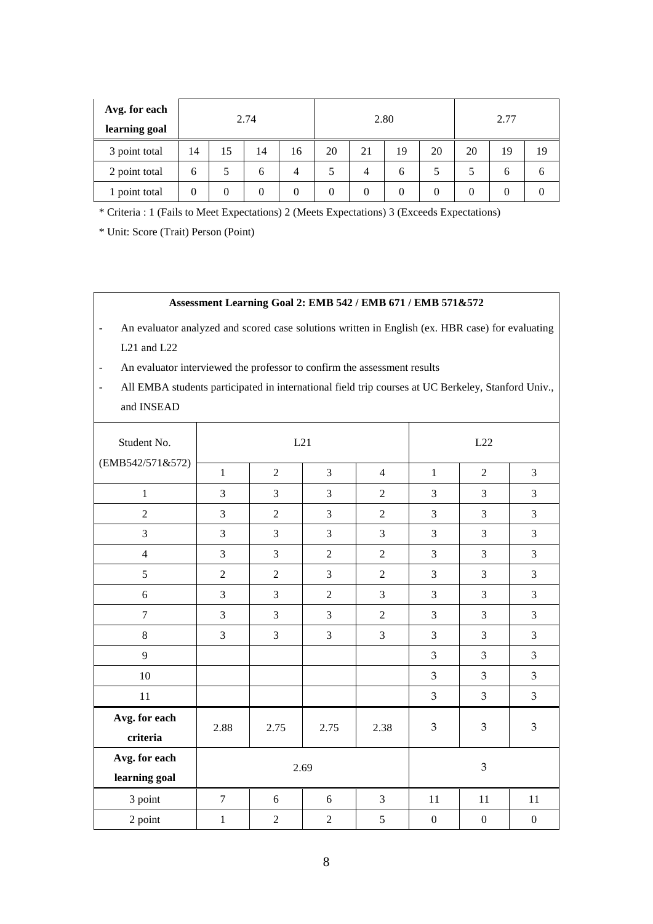| Avg. for each<br>learning goal |    |                  | 2.74 |    | 2.80 |          |    |    | 2.77         |              |              |
|--------------------------------|----|------------------|------|----|------|----------|----|----|--------------|--------------|--------------|
| 3 point total                  | 14 | 15               | 14   | 16 | 20   | 21       | 19 | 20 | 20           | 19           | 19           |
| 2 point total                  | 6  |                  | 6    | 4  |      | 4        | 6  |    |              | <sub>b</sub> | <sub>0</sub> |
| 1 point total                  | 0  | $\boldsymbol{0}$ | 0    | 0  | 0    | $\theta$ | 0  | 0  | $\mathbf{0}$ | 0            |              |

\* Criteria : 1 (Fails to Meet Expectations) 2 (Meets Expectations) 3 (Exceeds Expectations)

\* Unit: Score (Trait) Person (Point)

#### **Assessment Learning Goal 2: EMB 542 / EMB 671 / EMB 571&572**

- An evaluator analyzed and scored case solutions written in English (ex. HBR case) for evaluating L21 and L22
- An evaluator interviewed the professor to confirm the assessment results
- All EMBA students participated in international field trip courses at UC Berkeley, Stanford Univ., and INSEAD

| Student No.                    |                | L21            |                | L22            |                  |                  |                  |
|--------------------------------|----------------|----------------|----------------|----------------|------------------|------------------|------------------|
| (EMB542/571&572)               | $\mathbf{1}$   | $\overline{2}$ | $\overline{3}$ | $\overline{4}$ | $\mathbf{1}$     | $\overline{2}$   | 3                |
| $\mathbf{1}$                   | 3              | 3              | 3              | $\overline{2}$ | 3                | 3                | 3                |
| $\overline{2}$                 | 3              | $\overline{2}$ | 3              | $\overline{2}$ | 3                | 3                | 3                |
| 3                              | 3              | 3              | $\overline{3}$ | 3              | 3                | 3                | 3                |
| $\overline{4}$                 | 3              | 3              | $\overline{2}$ | $\overline{2}$ | 3                | 3                | 3                |
| 5                              | $\overline{2}$ | $\overline{2}$ | 3              | $\overline{2}$ | 3                | 3                | 3                |
| 6                              | 3              | 3              | $\overline{2}$ | 3              | 3                | 3                | 3                |
| $\overline{7}$                 | 3              | 3              | 3              | $\overline{c}$ | 3                | 3                | 3                |
| 8                              | 3              | 3              | 3              | 3              | 3                | 3                | 3                |
| 9                              |                |                |                |                | 3                | 3                | 3                |
| 10                             |                |                |                |                | 3                | 3                | $\mathfrak{Z}$   |
| 11                             |                |                |                |                | 3                | 3                | $\mathfrak{Z}$   |
| Avg. for each<br>criteria      | 2.88           | 2.75           | 2.75           | 2.38           | 3                | $\mathfrak{B}$   | $\mathfrak{Z}$   |
| Avg. for each<br>learning goal |                |                | 2.69           |                | 3                |                  |                  |
| 3 point                        | $\overline{7}$ | 6              | 6              | 3              | 11               | 11               | 11               |
| 2 point                        | $\mathbf{1}$   | $\overline{2}$ | $\overline{2}$ | 5              | $\boldsymbol{0}$ | $\boldsymbol{0}$ | $\boldsymbol{0}$ |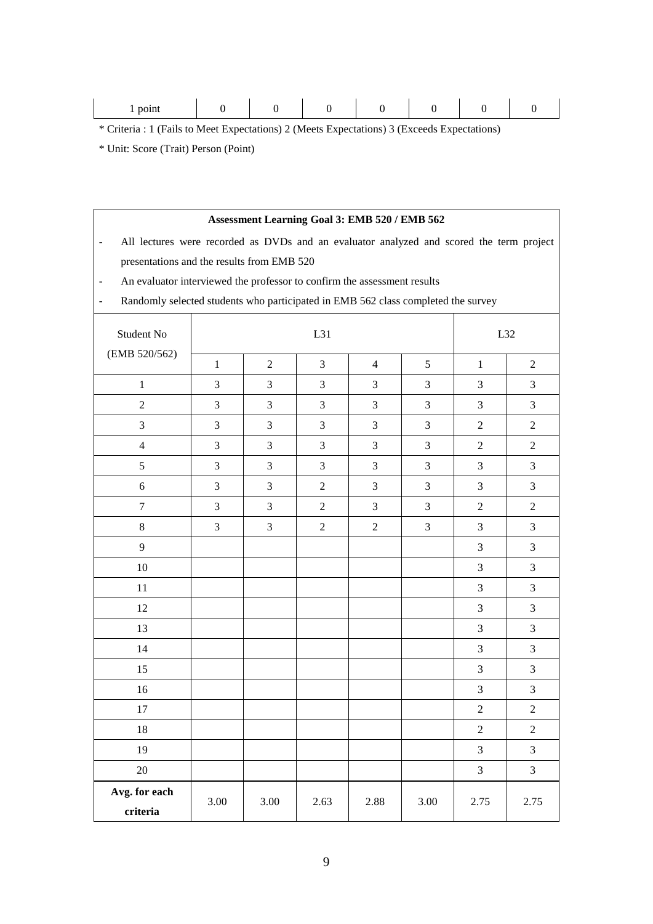|--|

\* Criteria : 1 (Fails to Meet Expectations) 2 (Meets Expectations) 3 (Exceeds Expectations)

\* Unit: Score (Trait) Person (Point)

|                                                                                                                      | Assessment Learning Goal 3: EMB 520 / EMB 562 |                  |                |                |      |                  |                             |  |  |
|----------------------------------------------------------------------------------------------------------------------|-----------------------------------------------|------------------|----------------|----------------|------|------------------|-----------------------------|--|--|
| All lectures were recorded as DVDs and an evaluator analyzed and scored the term project<br>$\overline{\phantom{a}}$ |                                               |                  |                |                |      |                  |                             |  |  |
| presentations and the results from EMB 520                                                                           |                                               |                  |                |                |      |                  |                             |  |  |
| An evaluator interviewed the professor to confirm the assessment results<br>$\overline{\phantom{a}}$                 |                                               |                  |                |                |      |                  |                             |  |  |
| Randomly selected students who participated in EMB 562 class completed the survey                                    |                                               |                  |                |                |      |                  |                             |  |  |
| Student No                                                                                                           |                                               |                  | L31            |                |      | L32              |                             |  |  |
| (EMB 520/562)                                                                                                        | $\mathbf{1}$                                  | $\boldsymbol{2}$ | 3              | $\overline{4}$ | 5    | $\mathbf{1}$     | $\overline{c}$              |  |  |
| $\mathbf{1}$                                                                                                         | 3                                             | 3                | 3              | 3              | 3    | 3                | 3                           |  |  |
| 2                                                                                                                    | 3                                             | 3                | 3              | 3              | 3    | 3                | 3                           |  |  |
| 3                                                                                                                    | 3                                             | 3                | 3              | 3              | 3    | 2                | $\overline{c}$              |  |  |
| $\overline{\mathbf{4}}$                                                                                              | 3                                             | 3                | 3              | 3              | 3    | 2                | $\mathfrak{2}$              |  |  |
| 5                                                                                                                    | 3                                             | 3                | 3              | 3              | 3    | 3                | 3                           |  |  |
| 6                                                                                                                    | 3                                             | 3                | $\overline{2}$ | 3              | 3    | 3                | 3                           |  |  |
| $\tau$                                                                                                               | 3                                             | 3                | $\overline{2}$ | $\mathfrak{Z}$ | 3    | $\overline{2}$   | $\mathfrak{2}$              |  |  |
| 8                                                                                                                    | 3                                             | 3                | $\overline{2}$ | $\overline{2}$ | 3    | 3                | 3                           |  |  |
| 9                                                                                                                    |                                               |                  |                |                |      | 3                | 3                           |  |  |
| 10                                                                                                                   |                                               |                  |                |                |      | 3                | 3                           |  |  |
| 11                                                                                                                   |                                               |                  |                |                |      | 3                | 3                           |  |  |
| 12                                                                                                                   |                                               |                  |                |                |      | 3                | 3                           |  |  |
| 13                                                                                                                   |                                               |                  |                |                |      | 3                | 3                           |  |  |
| 14                                                                                                                   |                                               |                  |                |                |      | 3                | 3                           |  |  |
| 15                                                                                                                   |                                               |                  |                |                |      | 3                | 3                           |  |  |
| 16                                                                                                                   |                                               |                  |                |                |      | 3                | 3                           |  |  |
| 17                                                                                                                   |                                               |                  |                |                |      | $\overline{2}$   | $\sqrt{2}$                  |  |  |
| $18\,$                                                                                                               |                                               |                  |                |                |      | $\boldsymbol{2}$ | $\sqrt{2}$                  |  |  |
| 19                                                                                                                   |                                               |                  |                |                |      | 3                | $\mathfrak{Z}$              |  |  |
| $20\,$                                                                                                               |                                               |                  |                |                |      | 3                | $\ensuremath{\mathfrak{Z}}$ |  |  |
| Avg. for each<br>criteria                                                                                            | 3.00                                          | 3.00             | 2.63           | 2.88           | 3.00 | 2.75             | 2.75                        |  |  |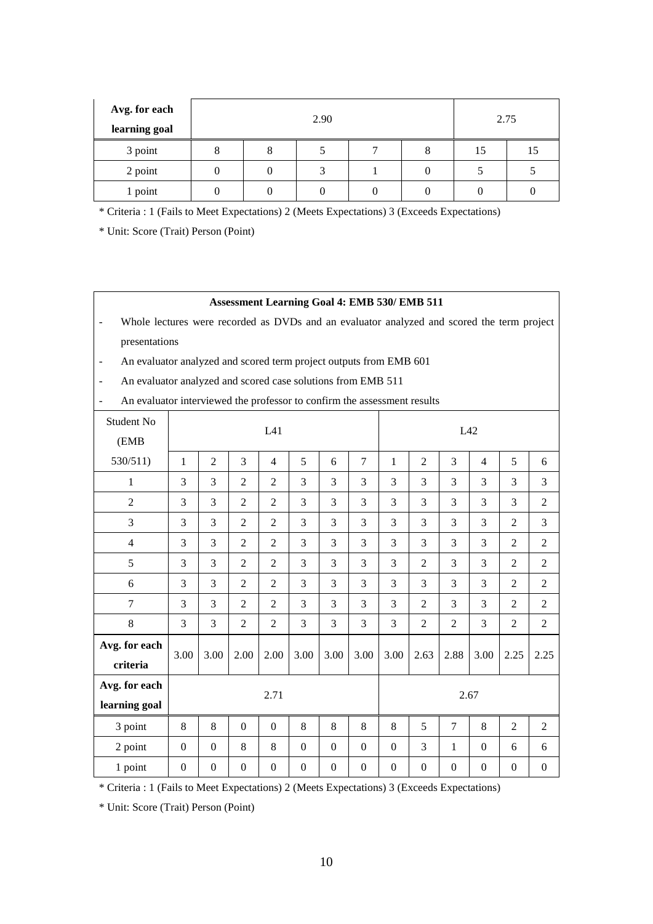| Avg. for each<br>learning goal |   |   | 2.75 |   |    |    |
|--------------------------------|---|---|------|---|----|----|
| 3 point                        | Ω | 8 |      | 8 | 15 | 15 |
| 2 point                        |   |   |      |   |    |    |
| 1 point                        |   |   |      |   |    |    |

\* Criteria : 1 (Fails to Meet Expectations) 2 (Meets Expectations) 3 (Exceeds Expectations)

\* Unit: Score (Trait) Person (Point)

#### **Assessment Learning Goal 4: EMB 530/ EMB 511**

- Whole lectures were recorded as DVDs and an evaluator analyzed and scored the term project presentations
- An evaluator analyzed and scored term project outputs from EMB 601
- An evaluator analyzed and scored case solutions from EMB 511

| Student No<br>(EMB             | L41              |                  |                  |                  |                  |                  | L42              |                  |                  |                  |                |                  |                  |
|--------------------------------|------------------|------------------|------------------|------------------|------------------|------------------|------------------|------------------|------------------|------------------|----------------|------------------|------------------|
| 530/511)                       | $\mathbf{1}$     | $\overline{2}$   | 3                | $\overline{4}$   | 5                | 6                | $\overline{7}$   | 1                | $\overline{2}$   | 3                | $\overline{4}$ | 5                | 6                |
| $\mathbf 1$                    | 3                | 3                | $\overline{2}$   | $\overline{2}$   | 3                | 3                | 3                | 3                | 3                | 3                | 3              | 3                | 3                |
| $\overline{2}$                 | 3                | 3                | $\overline{2}$   | $\overline{2}$   | 3                | 3                | 3                | 3                | 3                | 3                | 3              | 3                | $\overline{2}$   |
| 3                              | 3                | 3                | $\overline{2}$   | $\overline{2}$   | 3                | 3                | 3                | 3                | 3                | 3                | 3              | $\overline{2}$   | 3                |
| $\overline{4}$                 | 3                | 3                | $\overline{2}$   | $\overline{2}$   | 3                | 3                | 3                | 3                | 3                | 3                | 3              | $\overline{2}$   | $\mathfrak{2}$   |
| 5                              | 3                | 3                | $\overline{2}$   | $\overline{2}$   | 3                | 3                | 3                | 3                | $\overline{2}$   | 3                | 3              | $\overline{2}$   | $\overline{2}$   |
| 6                              | 3                | 3                | $\overline{2}$   | $\overline{2}$   | 3                | 3                | 3                | 3                | 3                | 3                | 3              | $\overline{2}$   | $\overline{2}$   |
| $\tau$                         | 3                | 3                | $\overline{2}$   | $\overline{2}$   | 3                | 3                | 3                | 3                | $\overline{2}$   | 3                | 3              | $\overline{2}$   | $\overline{2}$   |
| $\,8\,$                        | 3                | 3                | $\overline{2}$   | $\overline{2}$   | 3                | 3                | 3                | 3                | $\overline{2}$   | $\mathbf{2}$     | 3              | $\overline{2}$   | $\overline{2}$   |
| Avg. for each<br>criteria      | 3.00             | 3.00             | 2.00             | 2.00             | 3.00             | 3.00             | 3.00             | 3.00             | 2.63             | 2.88             | 3.00           | 2.25             | 2.25             |
| Avg. for each<br>learning goal | 2.71             |                  |                  |                  |                  |                  | 2.67             |                  |                  |                  |                |                  |                  |
| 3 point                        | 8                | 8                | $\mathbf{0}$     | $\Omega$         | 8                | 8                | 8                | 8                | 5                | $\overline{7}$   | 8              | $\overline{2}$   | $\overline{2}$   |
| 2 point                        | $\boldsymbol{0}$ | $\Omega$         | 8                | 8                | $\Omega$         | $\mathbf{0}$     | $\Omega$         | $\boldsymbol{0}$ | 3                | $\mathbf{1}$     | $\Omega$       | 6                | 6                |
| 1 point                        | $\boldsymbol{0}$ | $\boldsymbol{0}$ | $\boldsymbol{0}$ | $\boldsymbol{0}$ | $\boldsymbol{0}$ | $\boldsymbol{0}$ | $\boldsymbol{0}$ | $\boldsymbol{0}$ | $\boldsymbol{0}$ | $\boldsymbol{0}$ | $\overline{0}$ | $\boldsymbol{0}$ | $\boldsymbol{0}$ |

\* Criteria : 1 (Fails to Meet Expectations) 2 (Meets Expectations) 3 (Exceeds Expectations)

\* Unit: Score (Trait) Person (Point)